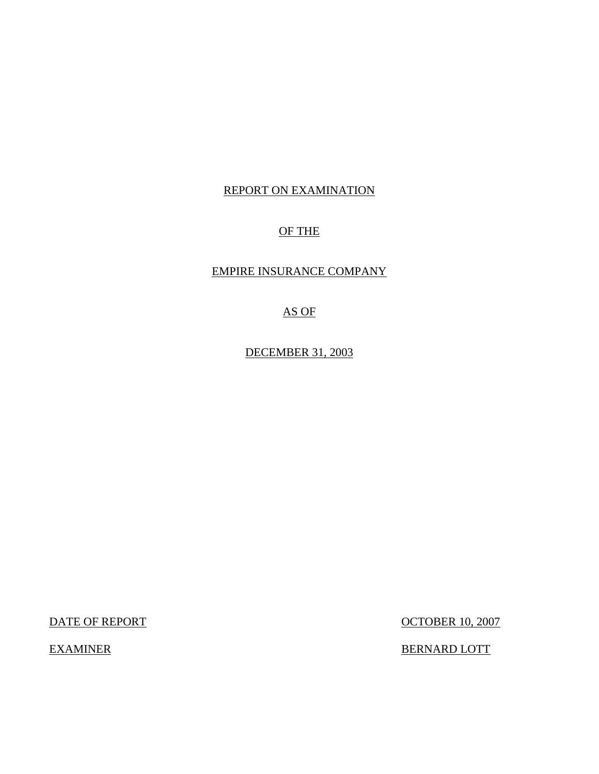# REPORT ON EXAMINATION

# OF THE

# EMPIRE INSURANCE COMPANY

# AS OF

DECEMBER 31, 2003

DATE OF REPORT OCTOBER 10, 2007

EXAMINER BERNARD LOTT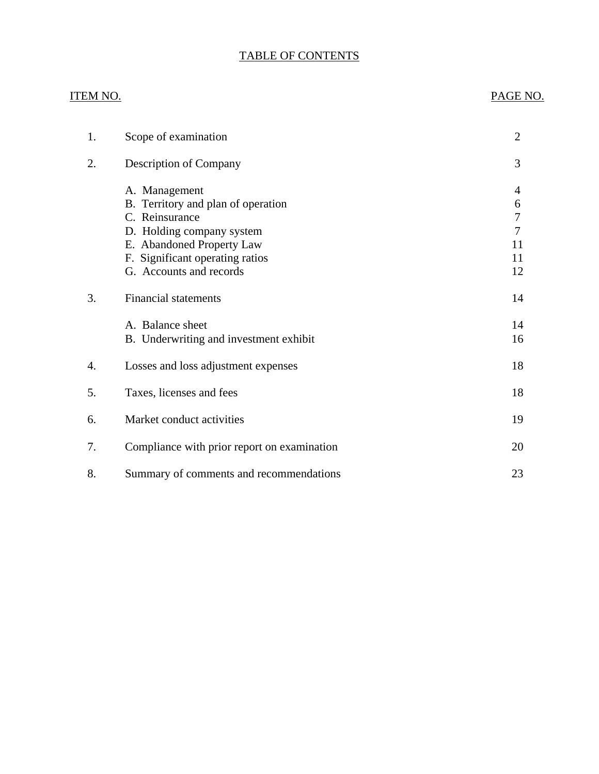# TABLE OF CONTENTS

# ITEM NO. PAGE NO. [1. Scope of examination 2](#page-3-0) 2. Description of Company 3 A. Management 4 [B. Territory and plan of operation 6](#page-7-0) [C. Reinsurance 7](#page-8-0) [D. Holding company system 7](#page-8-0) [E. Abandoned Property Law 11](#page-12-0) [F. Significant operating ratios 11](#page-12-0) G. Accounts and records 12 3. Financial statements 14 A. Balance sheet 14 B. Underwriting and investment exhibit 16 [4. Losses and loss adjustment expenses 18](#page-19-0) [5. Taxes, licenses and fees 18](#page-19-0) [6. Market conduct activities 19](#page-20-0) 7. Compliance with prior report on examination 20 [8. Summary of comments and recommendations 23](#page-24-0)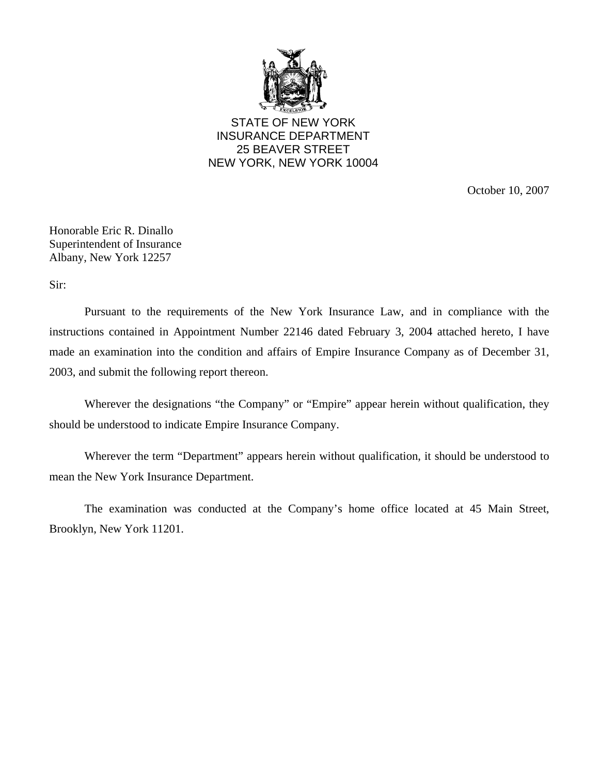

STATE OF NEW YORK INSURANCE DEPARTMENT 25 BEAVER STREET NEW YORK, NEW YORK 10004

October 10, 2007

Honorable Eric R. Dinallo Superintendent of Insurance Albany, New York 12257

Sir:

Pursuant to the requirements of the New York Insurance Law, and in compliance with the instructions contained in Appointment Number 22146 dated February 3, 2004 attached hereto, I have made an examination into the condition and affairs of Empire Insurance Company as of December 31, 2003, and submit the following report thereon.

Wherever the designations "the Company" or "Empire" appear herein without qualification, they should be understood to indicate Empire Insurance Company.

Wherever the term "Department" appears herein without qualification, it should be understood to mean the New York Insurance Department.

The examination was conducted at the Company's home office located at 45 Main Street, Brooklyn, New York 11201.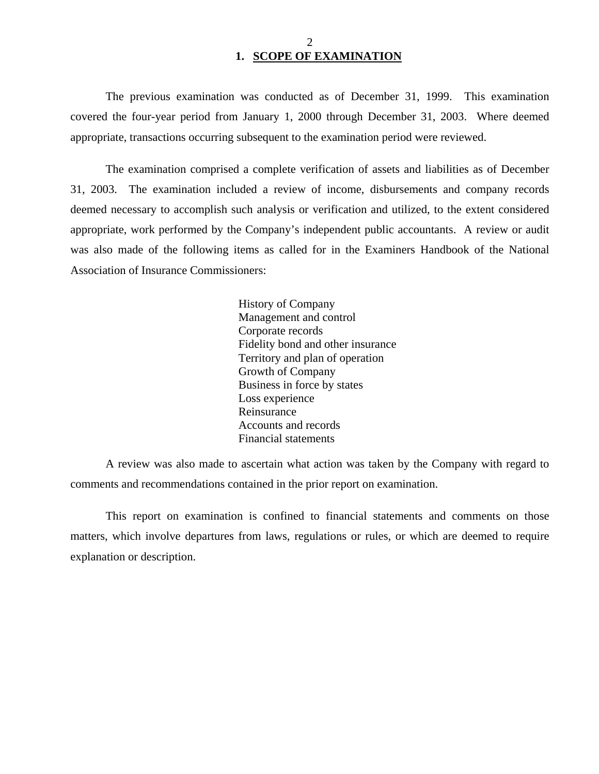# 2 **1. SCOPE OF EXAMINATION**

<span id="page-3-0"></span>The previous examination was conducted as of December 31, 1999. This examination covered the four-year period from January 1, 2000 through December 31, 2003. Where deemed appropriate, transactions occurring subsequent to the examination period were reviewed.

The examination comprised a complete verification of assets and liabilities as of December 31, 2003. The examination included a review of income, disbursements and company records deemed necessary to accomplish such analysis or verification and utilized, to the extent considered appropriate, work performed by the Company's independent public accountants. A review or audit was also made of the following items as called for in the Examiners Handbook of the National Association of Insurance Commissioners:

> History of Company Management and control Corporate records Fidelity bond and other insurance Territory and plan of operation Growth of Company Business in force by states Loss experience Reinsurance Accounts and records Financial statements

A review was also made to ascertain what action was taken by the Company with regard to comments and recommendations contained in the prior report on examination.

This report on examination is confined to financial statements and comments on those matters, which involve departures from laws, regulations or rules, or which are deemed to require explanation or description.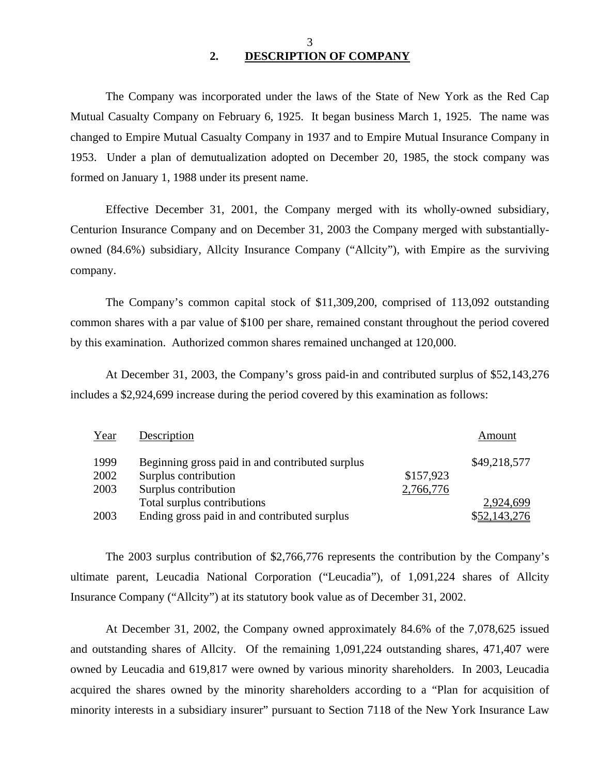# 3 **2. DESCRIPTION OF COMPANY**

The Company was incorporated under the laws of the State of New York as the Red Cap Mutual Casualty Company on February 6, 1925. It began business March 1, 1925. The name was changed to Empire Mutual Casualty Company in 1937 and to Empire Mutual Insurance Company in 1953. Under a plan of demutualization adopted on December 20, 1985, the stock company was formed on January 1, 1988 under its present name.

Effective December 31, 2001, the Company merged with its wholly-owned subsidiary, Centurion Insurance Company and on December 31, 2003 the Company merged with substantiallyowned (84.6%) subsidiary, Allcity Insurance Company ("Allcity"), with Empire as the surviving company.

The Company's common capital stock of \$11,309,200, comprised of 113,092 outstanding common shares with a par value of \$100 per share, remained constant throughout the period covered by this examination. Authorized common shares remained unchanged at 120,000.

At December 31, 2003, the Company's gross paid-in and contributed surplus of \$52,143,276 includes a \$2,924,699 increase during the period covered by this examination as follows:

| Year | Description                                     |           | Amount       |
|------|-------------------------------------------------|-----------|--------------|
| 1999 | Beginning gross paid in and contributed surplus |           | \$49,218,577 |
| 2002 | Surplus contribution                            | \$157,923 |              |
| 2003 | Surplus contribution                            | 2,766,776 |              |
|      | Total surplus contributions                     |           | 2,924,699    |
| 2003 | Ending gross paid in and contributed surplus    |           | \$52,143,276 |

The 2003 surplus contribution of \$2,766,776 represents the contribution by the Company's ultimate parent, Leucadia National Corporation ("Leucadia"), of 1,091,224 shares of Allcity Insurance Company ("Allcity") at its statutory book value as of December 31, 2002.

At December 31, 2002, the Company owned approximately 84.6% of the 7,078,625 issued and outstanding shares of Allcity. Of the remaining 1,091,224 outstanding shares, 471,407 were owned by Leucadia and 619,817 were owned by various minority shareholders. In 2003, Leucadia acquired the shares owned by the minority shareholders according to a "Plan for acquisition of minority interests in a subsidiary insurer" pursuant to Section 7118 of the New York Insurance Law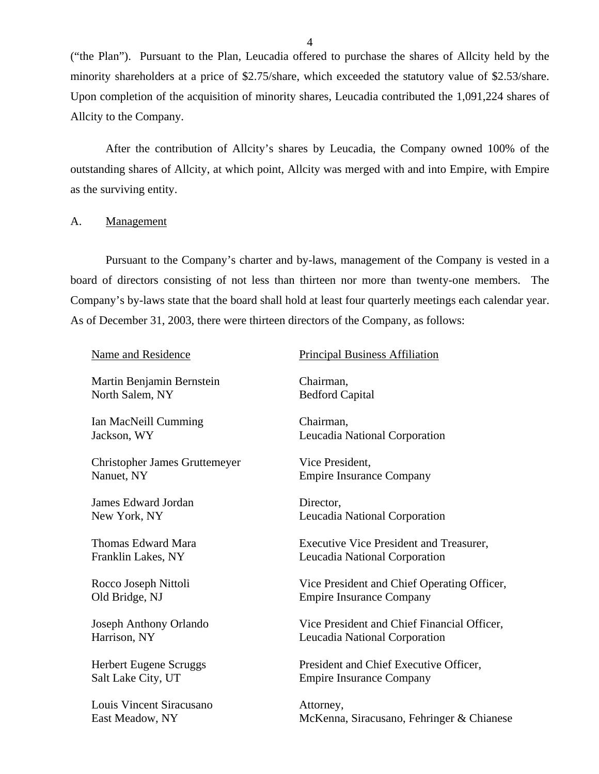("the Plan"). Pursuant to the Plan, Leucadia offered to purchase the shares of Allcity held by the minority shareholders at a price of \$2.75/share, which exceeded the statutory value of \$2.53/share. Upon completion of the acquisition of minority shares, Leucadia contributed the 1,091,224 shares of Allcity to the Company.

After the contribution of Allcity's shares by Leucadia, the Company owned 100% of the outstanding shares of Allcity, at which point, Allcity was merged with and into Empire, with Empire as the surviving entity.

#### A. Management

Pursuant to the Company's charter and by-laws, management of the Company is vested in a board of directors consisting of not less than thirteen nor more than twenty-one members. The Company's by-laws state that the board shall hold at least four quarterly meetings each calendar year. As of December 31, 2003, there were thirteen directors of the Company, as follows:

| Name and Residence                   | <b>Principal Business Affiliation</b>       |
|--------------------------------------|---------------------------------------------|
| Martin Benjamin Bernstein            | Chairman,                                   |
| North Salem, NY                      | <b>Bedford Capital</b>                      |
| Ian MacNeill Cumming                 | Chairman,                                   |
| Jackson, WY                          | Leucadia National Corporation               |
| <b>Christopher James Gruttemeyer</b> | Vice President,                             |
| Nanuet, NY                           | <b>Empire Insurance Company</b>             |
| James Edward Jordan                  | Director,                                   |
| New York, NY                         | Leucadia National Corporation               |
| Thomas Edward Mara                   | Executive Vice President and Treasurer,     |
| Franklin Lakes, NY                   | Leucadia National Corporation               |
| Rocco Joseph Nittoli                 | Vice President and Chief Operating Officer, |
| Old Bridge, NJ                       | <b>Empire Insurance Company</b>             |
| Joseph Anthony Orlando               | Vice President and Chief Financial Officer, |
| Harrison, NY                         | Leucadia National Corporation               |
| <b>Herbert Eugene Scruggs</b>        | President and Chief Executive Officer,      |
| Salt Lake City, UT                   | <b>Empire Insurance Company</b>             |
| Louis Vincent Siracusano             | Attorney,                                   |
| East Meadow, NY                      | McKenna, Siracusano, Fehringer & Chianese   |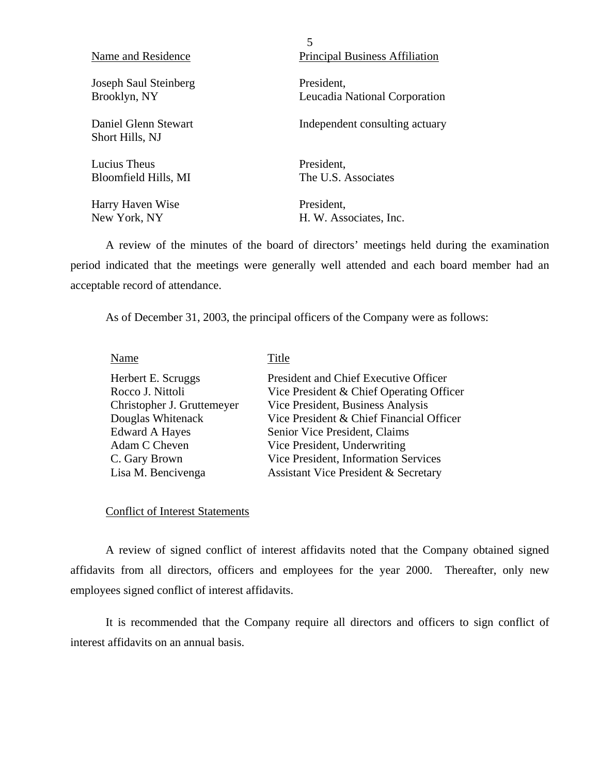| Name and Residence                      | 5<br><b>Principal Business Affiliation</b> |
|-----------------------------------------|--------------------------------------------|
| Joseph Saul Steinberg                   | President.                                 |
| Brooklyn, NY                            | Leucadia National Corporation              |
| Daniel Glenn Stewart<br>Short Hills, NJ | Independent consulting actuary             |
| Lucius Theus                            | President.                                 |
| Bloomfield Hills, MI                    | The U.S. Associates                        |
| Harry Haven Wise                        | President,                                 |
| New York, NY                            | H. W. Associates, Inc.                     |

A review of the minutes of the board of directors' meetings held during the examination period indicated that the meetings were generally well attended and each board member had an acceptable record of attendance.

As of December 31, 2003, the principal officers of the Company were as follows:

| Name                       | Title                                           |
|----------------------------|-------------------------------------------------|
| Herbert E. Scruggs         | President and Chief Executive Officer           |
| Rocco J. Nittoli           | Vice President & Chief Operating Officer        |
| Christopher J. Gruttemeyer | Vice President, Business Analysis               |
| Douglas Whitenack          | Vice President & Chief Financial Officer        |
| <b>Edward A Hayes</b>      | Senior Vice President, Claims                   |
| Adam C Cheven              | Vice President, Underwriting                    |
| C. Gary Brown              | Vice President, Information Services            |
| Lisa M. Bencivenga         | <b>Assistant Vice President &amp; Secretary</b> |
|                            |                                                 |

## Conflict of Interest Statements

A review of signed conflict of interest affidavits noted that the Company obtained signed affidavits from all directors, officers and employees for the year 2000. Thereafter, only new employees signed conflict of interest affidavits.

It is recommended that the Company require all directors and officers to sign conflict of interest affidavits on an annual basis.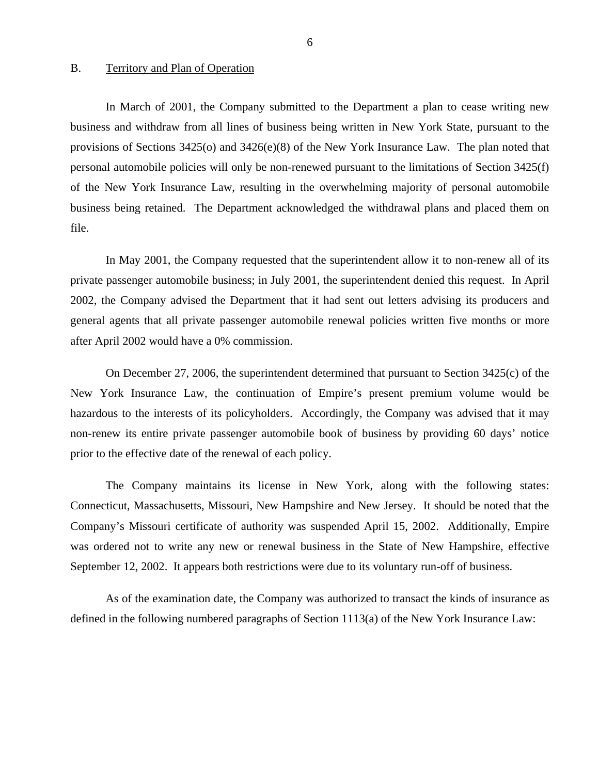#### <span id="page-7-0"></span>B. Territory and Plan of Operation

In March of 2001, the Company submitted to the Department a plan to cease writing new business and withdraw from all lines of business being written in New York State, pursuant to the provisions of Sections 3425(o) and 3426(e)(8) of the New York Insurance Law. The plan noted that personal automobile policies will only be non-renewed pursuant to the limitations of Section 3425(f) of the New York Insurance Law, resulting in the overwhelming majority of personal automobile business being retained. The Department acknowledged the withdrawal plans and placed them on file.

In May 2001, the Company requested that the superintendent allow it to non-renew all of its private passenger automobile business; in July 2001, the superintendent denied this request. In April 2002, the Company advised the Department that it had sent out letters advising its producers and general agents that all private passenger automobile renewal policies written five months or more after April 2002 would have a 0% commission.

On December 27, 2006, the superintendent determined that pursuant to Section 3425(c) of the New York Insurance Law, the continuation of Empire's present premium volume would be hazardous to the interests of its policyholders. Accordingly, the Company was advised that it may non-renew its entire private passenger automobile book of business by providing 60 days' notice prior to the effective date of the renewal of each policy.

The Company maintains its license in New York, along with the following states: Connecticut, Massachusetts, Missouri, New Hampshire and New Jersey. It should be noted that the Company's Missouri certificate of authority was suspended April 15, 2002. Additionally, Empire was ordered not to write any new or renewal business in the State of New Hampshire, effective September 12, 2002. It appears both restrictions were due to its voluntary run-off of business.

As of the examination date, the Company was authorized to transact the kinds of insurance as defined in the following numbered paragraphs of Section 1113(a) of the New York Insurance Law: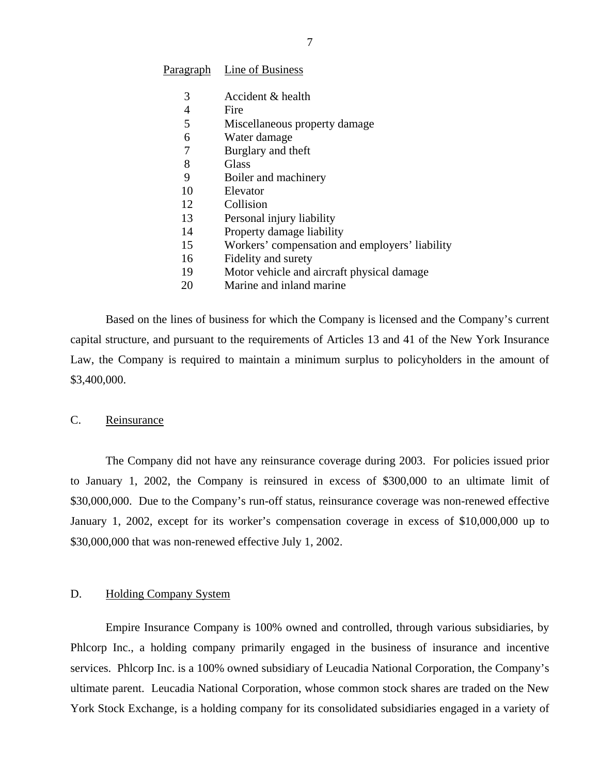#### <span id="page-8-0"></span>Paragraph Line of Business

- 3 Accident & health
- 4 Fire
- 5 Miscellaneous property damage
- 6 Water damage
- 7 Burglary and theft
- 8 Glass
- 9 Boiler and machinery
- 10 Elevator
- 12 Collision
- 13 Personal injury liability
- 14 Property damage liability
- 15 Workers' compensation and employers' liability
- 16 Fidelity and surety
- 19 Motor vehicle and aircraft physical damage
- 20 Marine and inland marine

Based on the lines of business for which the Company is licensed and the Company's current capital structure, and pursuant to the requirements of Articles 13 and 41 of the New York Insurance Law, the Company is required to maintain a minimum surplus to policyholders in the amount of \$3,400,000.

## C. Reinsurance

The Company did not have any reinsurance coverage during 2003. For policies issued prior to January 1, 2002, the Company is reinsured in excess of \$300,000 to an ultimate limit of \$30,000,000. Due to the Company's run-off status, reinsurance coverage was non-renewed effective January 1, 2002, except for its worker's compensation coverage in excess of \$10,000,000 up to \$30,000,000 that was non-renewed effective July 1, 2002.

#### D. Holding Company System

Empire Insurance Company is 100% owned and controlled, through various subsidiaries, by Phlcorp Inc., a holding company primarily engaged in the business of insurance and incentive services. Phlcorp Inc. is a 100% owned subsidiary of Leucadia National Corporation, the Company's ultimate parent. Leucadia National Corporation, whose common stock shares are traded on the New York Stock Exchange, is a holding company for its consolidated subsidiaries engaged in a variety of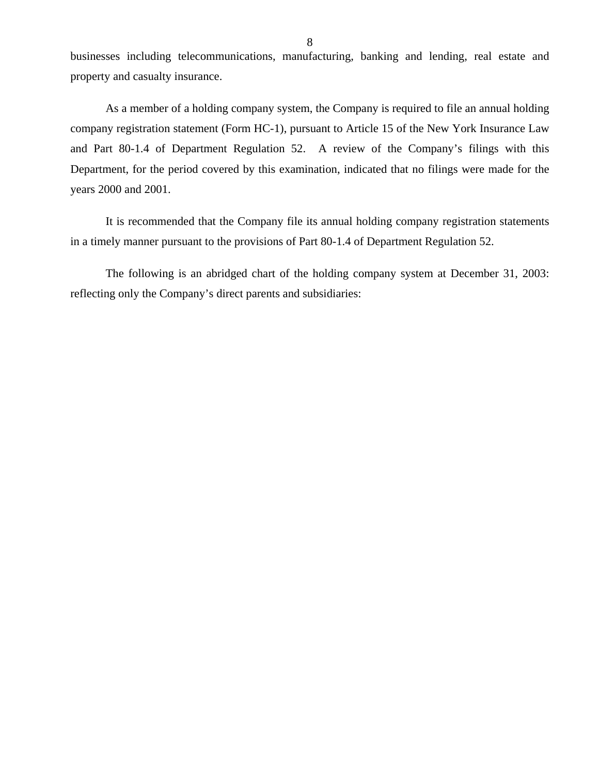businesses including telecommunications, manufacturing, banking and lending, real estate and property and casualty insurance.

As a member of a holding company system, the Company is required to file an annual holding company registration statement (Form HC-1), pursuant to Article 15 of the New York Insurance Law and Part 80-1.4 of Department Regulation 52. A review of the Company's filings with this Department, for the period covered by this examination, indicated that no filings were made for the years 2000 and 2001.

It is recommended that the Company file its annual holding company registration statements in a timely manner pursuant to the provisions of Part 80-1.4 of Department Regulation 52.

The following is an abridged chart of the holding company system at December 31, 2003: reflecting only the Company's direct parents and subsidiaries: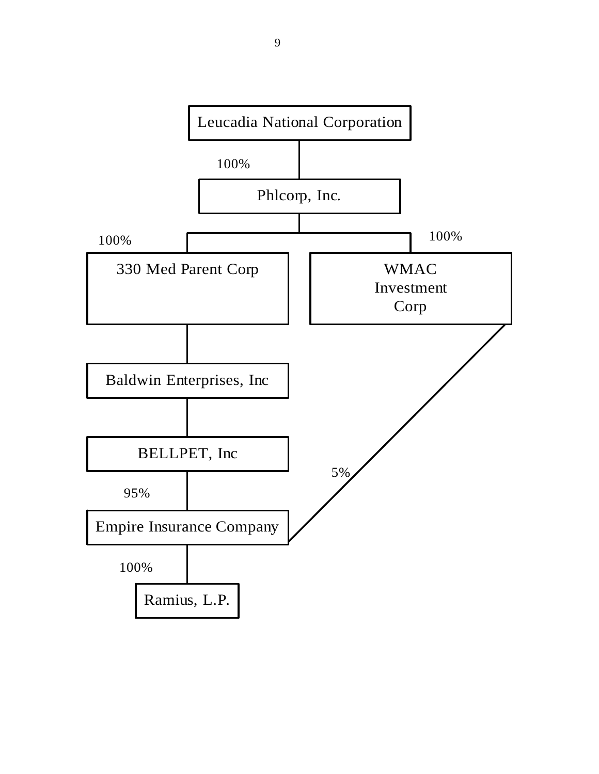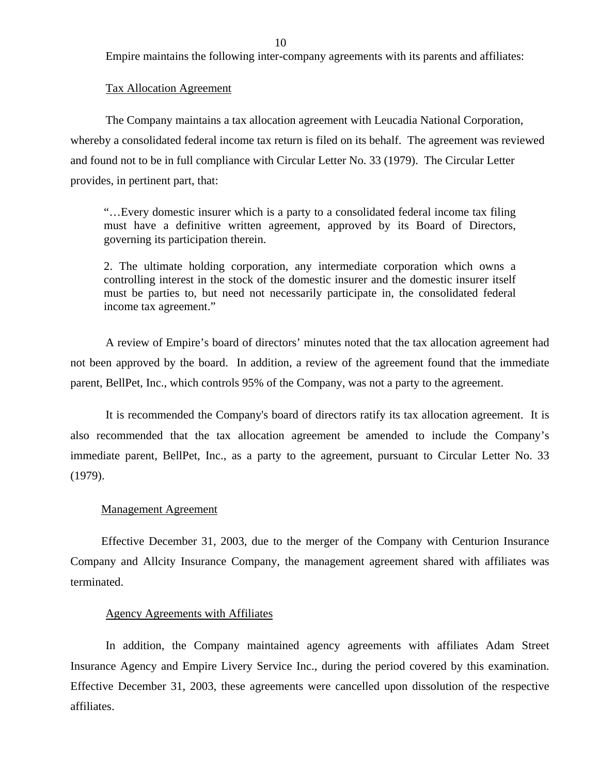Empire maintains the following inter-company agreements with its parents and affiliates:

#### Tax Allocation Agreement

The Company maintains a tax allocation agreement with Leucadia National Corporation, whereby a consolidated federal income tax return is filed on its behalf. The agreement was reviewed and found not to be in full compliance with Circular Letter No. 33 (1979). The Circular Letter provides, in pertinent part, that:

"…Every domestic insurer which is a party to a consolidated federal income tax filing must have a definitive written agreement, approved by its Board of Directors, governing its participation therein.

2. The ultimate holding corporation, any intermediate corporation which owns a controlling interest in the stock of the domestic insurer and the domestic insurer itself must be parties to, but need not necessarily participate in, the consolidated federal income tax agreement."

A review of Empire's board of directors' minutes noted that the tax allocation agreement had not been approved by the board. In addition, a review of the agreement found that the immediate parent, BellPet, Inc., which controls 95% of the Company, was not a party to the agreement.

It is recommended the Company's board of directors ratify its tax allocation agreement. It is also recommended that the tax allocation agreement be amended to include the Company's immediate parent, BellPet, Inc., as a party to the agreement, pursuant to Circular Letter No. 33 (1979).

#### Management Agreement

Effective December 31, 2003, due to the merger of the Company with Centurion Insurance Company and Allcity Insurance Company, the management agreement shared with affiliates was terminated.

#### Agency Agreements with Affiliates

In addition, the Company maintained agency agreements with affiliates Adam Street Insurance Agency and Empire Livery Service Inc., during the period covered by this examination. Effective December 31, 2003, these agreements were cancelled upon dissolution of the respective affiliates.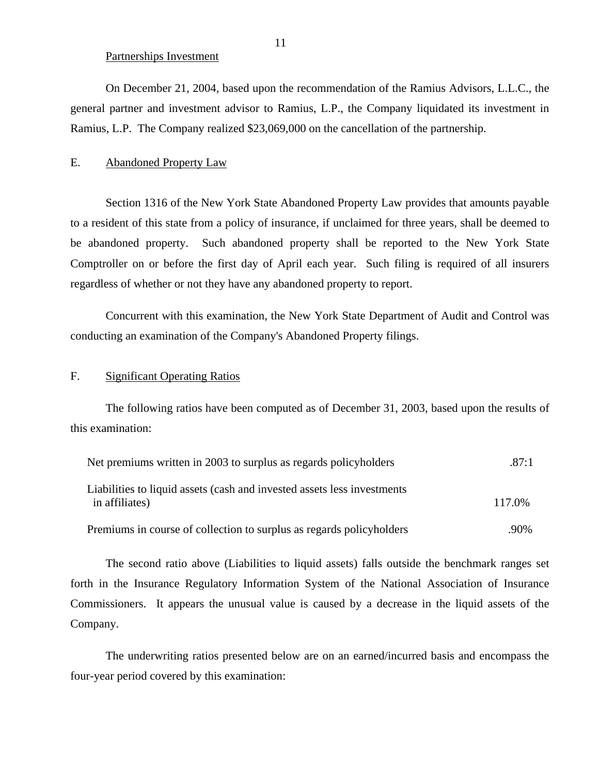#### Partnerships Investment

<span id="page-12-0"></span>On December 21, 2004, based upon the recommendation of the Ramius Advisors, L.L.C., the general partner and investment advisor to Ramius, L.P., the Company liquidated its investment in Ramius, L.P. The Company realized \$23,069,000 on the cancellation of the partnership.

## E. Abandoned Property Law

Section 1316 of the New York State Abandoned Property Law provides that amounts payable to a resident of this state from a policy of insurance, if unclaimed for three years, shall be deemed to be abandoned property. Such abandoned property shall be reported to the New York State Comptroller on or before the first day of April each year. Such filing is required of all insurers regardless of whether or not they have any abandoned property to report.

Concurrent with this examination, the New York State Department of Audit and Control was conducting an examination of the Company's Abandoned Property filings.

## F. Significant Operating Ratios

The following ratios have been computed as of December 31, 2003, based upon the results of this examination:

| Net premiums written in 2003 to surplus as regards policyholders                          | .87:1  |
|-------------------------------------------------------------------------------------------|--------|
| Liabilities to liquid assets (cash and invested assets less investments<br>in affiliates) | 117.0% |
| Premiums in course of collection to surplus as regards policyholders                      | .90%   |

The second ratio above (Liabilities to liquid assets) falls outside the benchmark ranges set forth in the Insurance Regulatory Information System of the National Association of Insurance Commissioners. It appears the unusual value is caused by a decrease in the liquid assets of the Company.

The underwriting ratios presented below are on an earned/incurred basis and encompass the four-year period covered by this examination:

11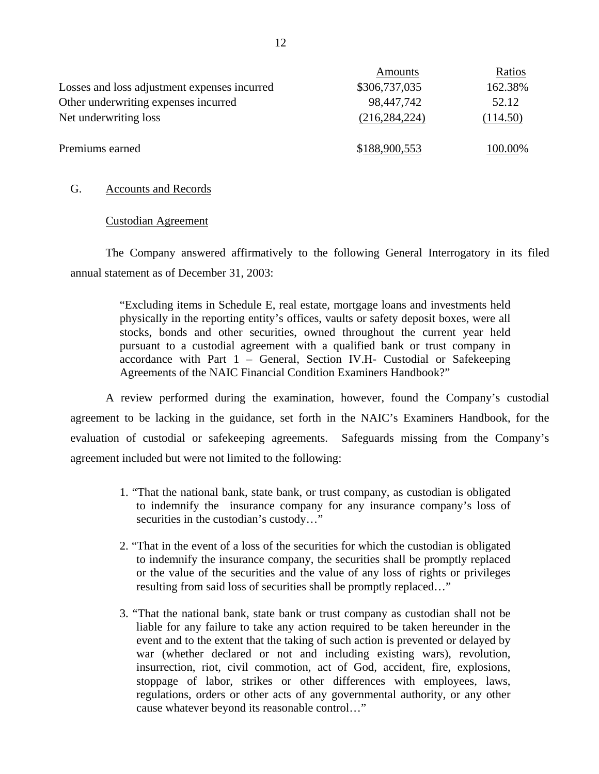|                                              | Amounts         | Ratios   |
|----------------------------------------------|-----------------|----------|
| Losses and loss adjustment expenses incurred | \$306,737,035   | 162.38%  |
| Other underwriting expenses incurred         | 98,447,742      | 52.12    |
| Net underwriting loss                        | (216, 284, 224) | (114.50) |
| Premiums earned                              | \$188,900,553   | 100.00%  |

## G. Accounts and Records

### Custodian Agreement

The Company answered affirmatively to the following General Interrogatory in its filed annual statement as of December 31, 2003:

> "Excluding items in Schedule E, real estate, mortgage loans and investments held physically in the reporting entity's offices, vaults or safety deposit boxes, were all stocks, bonds and other securities, owned throughout the current year held pursuant to a custodial agreement with a qualified bank or trust company in accordance with Part 1 – General, Section IV.H- Custodial or Safekeeping Agreements of the NAIC Financial Condition Examiners Handbook?"

A review performed during the examination, however, found the Company's custodial agreement to be lacking in the guidance, set forth in the NAIC's Examiners Handbook, for the evaluation of custodial or safekeeping agreements. Safeguards missing from the Company's agreement included but were not limited to the following:

- 1. "That the national bank, state bank, or trust company, as custodian is obligated to indemnify the insurance company for any insurance company's loss of securities in the custodian's custody..."
- 2. "That in the event of a loss of the securities for which the custodian is obligated to indemnify the insurance company, the securities shall be promptly replaced or the value of the securities and the value of any loss of rights or privileges resulting from said loss of securities shall be promptly replaced…"
- 3. "That the national bank, state bank or trust company as custodian shall not be liable for any failure to take any action required to be taken hereunder in the event and to the extent that the taking of such action is prevented or delayed by war (whether declared or not and including existing wars), revolution, insurrection, riot, civil commotion, act of God, accident, fire, explosions, stoppage of labor, strikes or other differences with employees, laws, regulations, orders or other acts of any governmental authority, or any other cause whatever beyond its reasonable control…"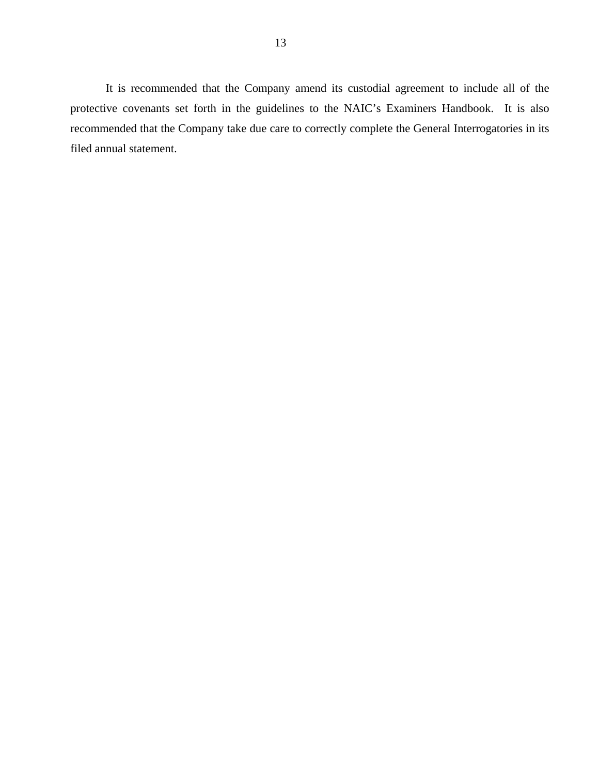It is recommended that the Company amend its custodial agreement to include all of the protective covenants set forth in the guidelines to the NAIC's Examiners Handbook. It is also recommended that the Company take due care to correctly complete the General Interrogatories in its filed annual statement.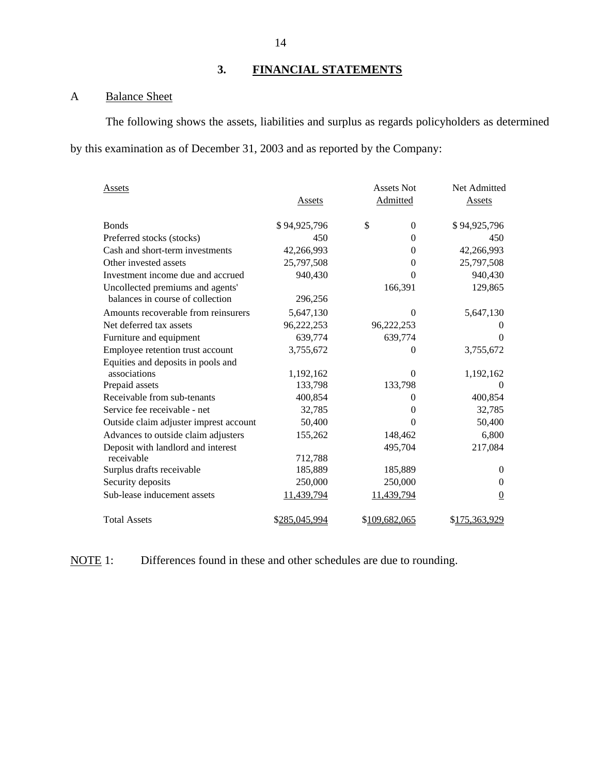# **3. FINANCIAL STATEMENTS**

# A Balance Sheet

The following shows the assets, liabilities and surplus as regards policyholders as determined by this examination as of December 31, 2003 and as reported by the Company:

| Assets                                 |               | <b>Assets Not</b> | Net Admitted   |
|----------------------------------------|---------------|-------------------|----------------|
|                                        | Assets        | Admitted          | Assets         |
| <b>Bonds</b>                           | \$94,925,796  | \$<br>$\Omega$    | \$94,925,796   |
| Preferred stocks (stocks)              | 450           | $\Omega$          | 450            |
| Cash and short-term investments        | 42,266,993    | $\Omega$          | 42,266,993     |
| Other invested assets                  | 25,797,508    | $\Omega$          | 25,797,508     |
| Investment income due and accrued      | 940,430       | $\theta$          | 940,430        |
| Uncollected premiums and agents'       |               | 166,391           | 129,865        |
| balances in course of collection       | 296,256       |                   |                |
| Amounts recoverable from reinsurers    | 5,647,130     | $\Omega$          | 5,647,130      |
| Net deferred tax assets                | 96,222,253    | 96,222,253        | $\Omega$       |
| Furniture and equipment                | 639,774       | 639,774           | $\Omega$       |
| Employee retention trust account       | 3,755,672     | 0                 | 3,755,672      |
| Equities and deposits in pools and     |               |                   |                |
| associations                           | 1,192,162     | $\Omega$          | 1,192,162      |
| Prepaid assets                         | 133,798       | 133,798           | $\theta$       |
| Receivable from sub-tenants            | 400,854       | 0                 | 400,854        |
| Service fee receivable - net           | 32,785        | $\Omega$          | 32,785         |
| Outside claim adjuster imprest account | 50,400        | $\Omega$          | 50,400         |
| Advances to outside claim adjusters    | 155,262       | 148,462           | 6,800          |
| Deposit with landlord and interest     |               | 495,704           | 217,084        |
| receivable                             | 712,788       |                   |                |
| Surplus drafts receivable              | 185,889       | 185,889           | $\Omega$       |
| Security deposits                      | 250,000       | 250,000           | $\Omega$       |
| Sub-lease inducement assets            | 11,439,794    | 11,439,794        | $\overline{0}$ |
| <b>Total Assets</b>                    | \$285,045,994 | \$109,682,065     | \$175,363,929  |

NOTE 1: Differences found in these and other schedules are due to rounding.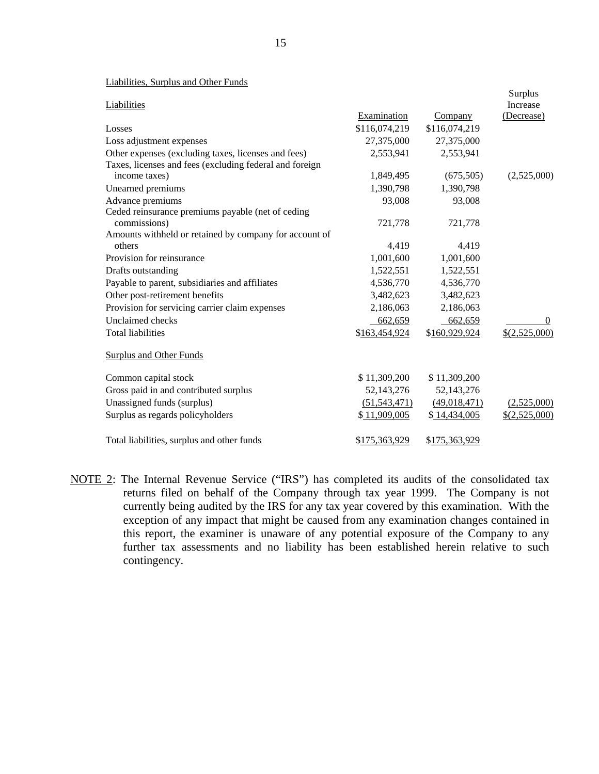| Labinaco, Durphus and Other I and s                     |                |               |                     |
|---------------------------------------------------------|----------------|---------------|---------------------|
| Liabilities                                             |                |               | Surplus<br>Increase |
|                                                         | Examination    | Company       | (Decrease)          |
| Losses                                                  | \$116,074,219  | \$116,074,219 |                     |
| Loss adjustment expenses                                | 27,375,000     | 27,375,000    |                     |
| Other expenses (excluding taxes, licenses and fees)     | 2,553,941      | 2,553,941     |                     |
| Taxes, licenses and fees (excluding federal and foreign |                |               |                     |
| income taxes)                                           | 1,849,495      | (675,505)     | (2,525,000)         |
| Unearned premiums                                       | 1,390,798      | 1,390,798     |                     |
| Advance premiums                                        | 93,008         | 93,008        |                     |
| Ceded reinsurance premiums payable (net of ceding       |                |               |                     |
| commissions)                                            | 721,778        | 721,778       |                     |
| Amounts withheld or retained by company for account of  |                |               |                     |
| others                                                  | 4,419          | 4,419         |                     |
| Provision for reinsurance                               | 1,001,600      | 1,001,600     |                     |
| Drafts outstanding                                      | 1,522,551      | 1,522,551     |                     |
| Payable to parent, subsidiaries and affiliates          | 4,536,770      | 4,536,770     |                     |
| Other post-retirement benefits                          | 3,482,623      | 3,482,623     |                     |
| Provision for servicing carrier claim expenses          | 2,186,063      | 2,186,063     |                     |
| <b>Unclaimed</b> checks                                 | 662,659        | 662,659       | $\left($            |
| <b>Total liabilities</b>                                | \$163,454,924  | \$160,929,924 | \$(2,525,000)       |
| <b>Surplus and Other Funds</b>                          |                |               |                     |
| Common capital stock                                    | \$11,309,200   | \$11,309,200  |                     |
| Gross paid in and contributed surplus                   | 52,143,276     | 52,143,276    |                     |
| Unassigned funds (surplus)                              | (51, 543, 471) | (49,018,471)  | (2,525,000)         |
| Surplus as regards policyholders                        | \$11,909,005   | \$14,434,005  | \$(2,525,000)       |
| Total liabilities, surplus and other funds              | \$175,363,929  | \$175,363,929 |                     |

NOTE 2: The Internal Revenue Service ("IRS") has completed its audits of the consolidated tax returns filed on behalf of the Company through tax year 1999. The Company is not currently being audited by the IRS for any tax year covered by this examination. With the exception of any impact that might be caused from any examination changes contained in this report, the examiner is unaware of any potential exposure of the Company to any further tax assessments and no liability has been established herein relative to such contingency.

#### Liabilities, Surplus and Other Funds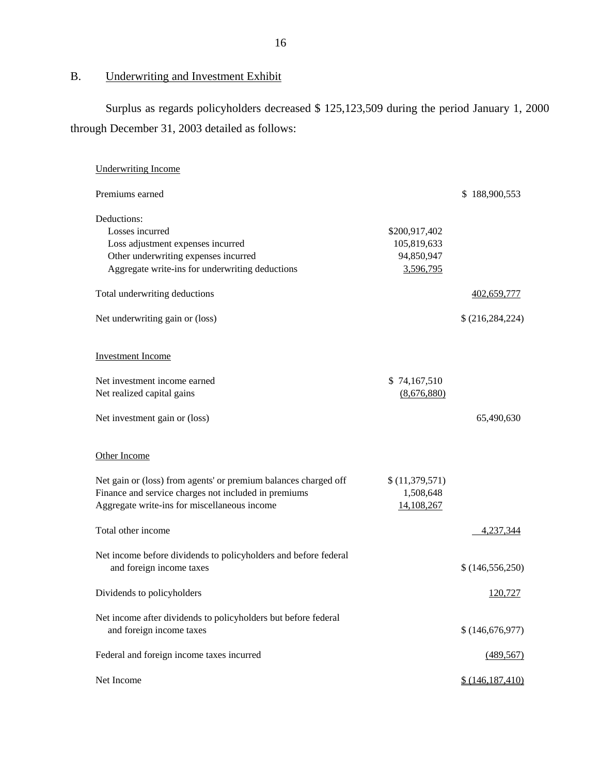# B. Underwriting and Investment Exhibit

Surplus as regards policyholders decreased \$ 125,123,509 during the period January 1, 2000 through December 31, 2003 detailed as follows:

| <b>Underwriting Income</b>                                                                                                                                              |                                                         |                    |
|-------------------------------------------------------------------------------------------------------------------------------------------------------------------------|---------------------------------------------------------|--------------------|
| Premiums earned                                                                                                                                                         |                                                         | \$188,900,553      |
| Deductions:<br>Losses incurred<br>Loss adjustment expenses incurred<br>Other underwriting expenses incurred<br>Aggregate write-ins for underwriting deductions          | \$200,917,402<br>105,819,633<br>94,850,947<br>3,596,795 |                    |
| Total underwriting deductions                                                                                                                                           |                                                         | 402,659,777        |
| Net underwriting gain or (loss)                                                                                                                                         |                                                         | \$ (216, 284, 224) |
| <b>Investment Income</b>                                                                                                                                                |                                                         |                    |
| Net investment income earned<br>Net realized capital gains                                                                                                              | \$74,167,510<br>(8,676,880)                             |                    |
| Net investment gain or (loss)                                                                                                                                           |                                                         | 65,490,630         |
| Other Income                                                                                                                                                            |                                                         |                    |
| Net gain or (loss) from agents' or premium balances charged off<br>Finance and service charges not included in premiums<br>Aggregate write-ins for miscellaneous income | \$(11,379,571)<br>1,508,648<br>14,108,267               |                    |
| Total other income                                                                                                                                                      |                                                         | 4,237,344          |
| Net income before dividends to policyholders and before federal<br>and foreign income taxes                                                                             |                                                         | \$(146, 556, 250)  |
| Dividends to policyholders                                                                                                                                              |                                                         | 120,727            |
| Net income after dividends to policyholders but before federal<br>and foreign income taxes                                                                              |                                                         | \$(146,676,977)    |
| Federal and foreign income taxes incurred                                                                                                                               |                                                         | (489, 567)         |
| Net Income                                                                                                                                                              |                                                         | \$(146, 187, 410)  |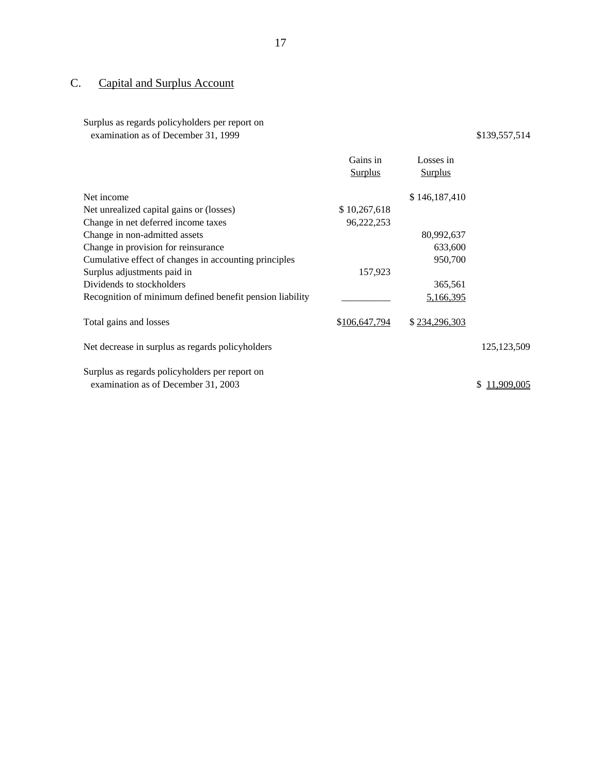# C. Capital and Surplus Account

## Surplus as regards policyholders per report on examination as of December 31, 1999 \$139,557,514

|                                                          | Gains in       | Losses in      |               |
|----------------------------------------------------------|----------------|----------------|---------------|
|                                                          | <b>Surplus</b> | <b>Surplus</b> |               |
| Net income                                               |                | \$146,187,410  |               |
| Net unrealized capital gains or (losses)                 | \$10,267,618   |                |               |
| Change in net deferred income taxes                      | 96,222,253     |                |               |
| Change in non-admitted assets                            |                | 80,992,637     |               |
| Change in provision for reinsurance                      |                | 633,600        |               |
| Cumulative effect of changes in accounting principles    |                | 950,700        |               |
| Surplus adjustments paid in                              | 157,923        |                |               |
| Dividends to stockholders                                |                | 365,561        |               |
| Recognition of minimum defined benefit pension liability |                | 5,166,395      |               |
| Total gains and losses                                   | \$106,647,794  | \$234,296,303  |               |
| Net decrease in surplus as regards policyholders         |                |                | 125, 123, 509 |
| Surplus as regards policyholders per report on           |                |                |               |
| examination as of December 31, 2003                      |                |                | 1.909.005     |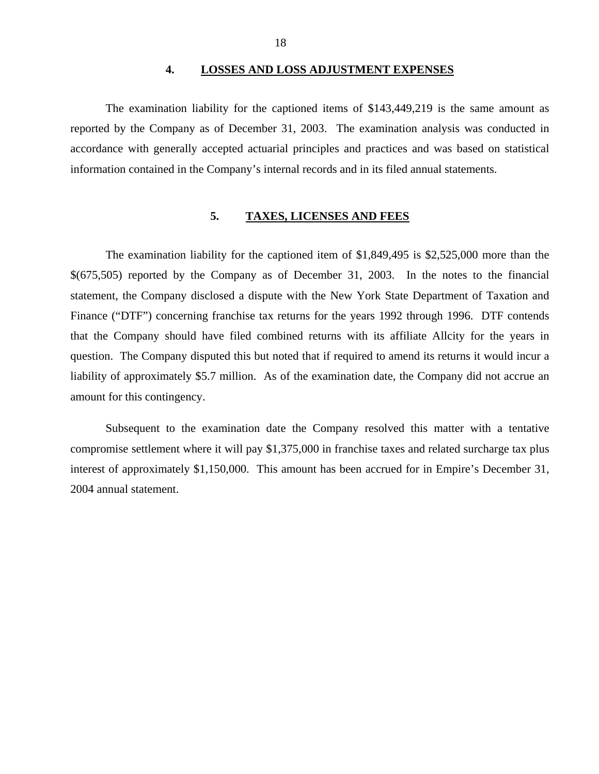#### **4. LOSSES AND LOSS ADJUSTMENT EXPENSES**

<span id="page-19-0"></span>The examination liability for the captioned items of \$143,449,219 is the same amount as reported by the Company as of December 31, 2003. The examination analysis was conducted in accordance with generally accepted actuarial principles and practices and was based on statistical information contained in the Company's internal records and in its filed annual statements.

# **5. TAXES, LICENSES AND FEES**

The examination liability for the captioned item of \$1,849,495 is \$2,525,000 more than the \$(675,505) reported by the Company as of December 31, 2003. In the notes to the financial statement, the Company disclosed a dispute with the New York State Department of Taxation and Finance ("DTF") concerning franchise tax returns for the years 1992 through 1996. DTF contends that the Company should have filed combined returns with its affiliate Allcity for the years in question. The Company disputed this but noted that if required to amend its returns it would incur a liability of approximately \$5.7 million. As of the examination date, the Company did not accrue an amount for this contingency.

Subsequent to the examination date the Company resolved this matter with a tentative compromise settlement where it will pay \$1,375,000 in franchise taxes and related surcharge tax plus interest of approximately \$1,150,000. This amount has been accrued for in Empire's December 31, 2004 annual statement.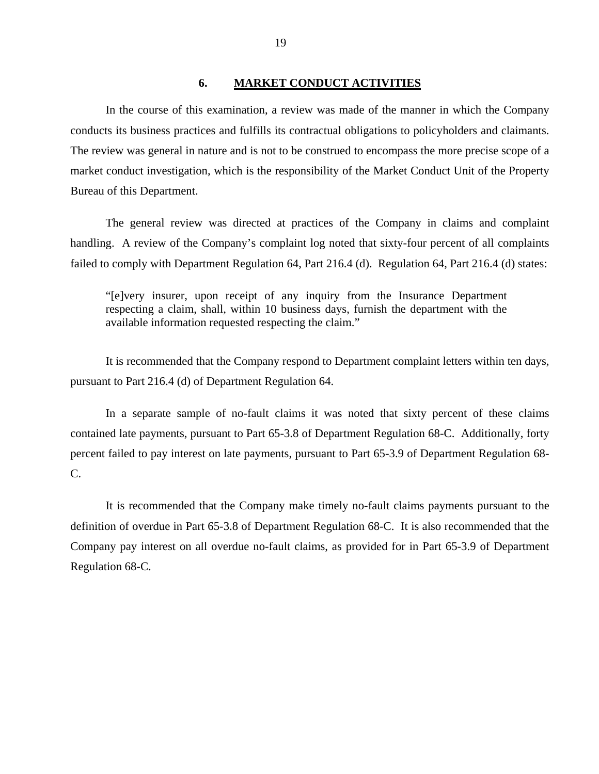### **6. MARKET CONDUCT ACTIVITIES**

<span id="page-20-0"></span>In the course of this examination, a review was made of the manner in which the Company conducts its business practices and fulfills its contractual obligations to policyholders and claimants. The review was general in nature and is not to be construed to encompass the more precise scope of a market conduct investigation, which is the responsibility of the Market Conduct Unit of the Property Bureau of this Department.

The general review was directed at practices of the Company in claims and complaint handling. A review of the Company's complaint log noted that sixty-four percent of all complaints failed to comply with Department Regulation 64, Part 216.4 (d). Regulation 64, Part 216.4 (d) states:

"[e]very insurer, upon receipt of any inquiry from the Insurance Department respecting a claim, shall, within 10 business days, furnish the department with the available information requested respecting the claim."

It is recommended that the Company respond to Department complaint letters within ten days, pursuant to Part 216.4 (d) of Department Regulation 64.

In a separate sample of no-fault claims it was noted that sixty percent of these claims contained late payments, pursuant to Part 65-3.8 of Department Regulation 68-C. Additionally, forty percent failed to pay interest on late payments, pursuant to Part 65-3.9 of Department Regulation 68- C.

It is recommended that the Company make timely no-fault claims payments pursuant to the definition of overdue in Part 65-3.8 of Department Regulation 68-C. It is also recommended that the Company pay interest on all overdue no-fault claims, as provided for in Part 65-3.9 of Department Regulation 68-C.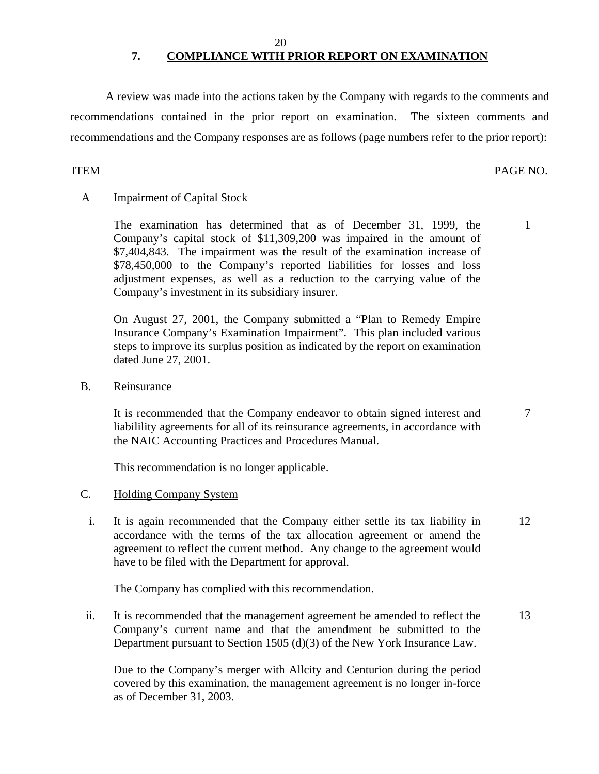# **7. COMPLIANCE WITH PRIOR REPORT ON EXAMINATION**

A review was made into the actions taken by the Company with regards to the comments and recommendations contained in the prior report on examination. The sixteen comments and recommendations and the Company responses are as follows (page numbers refer to the prior report):

# ITEM PAGE NO.

# A Impairment of Capital Stock

The examination has determined that as of December 31, 1999, the 1 Company's capital stock of \$11,309,200 was impaired in the amount of \$7,404,843. The impairment was the result of the examination increase of \$78,450,000 to the Company's reported liabilities for losses and loss adjustment expenses, as well as a reduction to the carrying value of the Company's investment in its subsidiary insurer.

On August 27, 2001, the Company submitted a "Plan to Remedy Empire Insurance Company's Examination Impairment". This plan included various steps to improve its surplus position as indicated by the report on examination dated June 27, 2001.

B. Reinsurance

It is recommended that the Company endeavor to obtain signed interest and  $\frac{7}{7}$ liabilility agreements for all of its reinsurance agreements, in accordance with the NAIC Accounting Practices and Procedures Manual.

This recommendation is no longer applicable.

### C. Holding Company System

i. It is again recommended that the Company either settle its tax liability in 12 accordance with the terms of the tax allocation agreement or amend the agreement to reflect the current method. Any change to the agreement would have to be filed with the Department for approval.

The Company has complied with this recommendation.

ii. It is recommended that the management agreement be amended to reflect the 13 Company's current name and that the amendment be submitted to the Department pursuant to Section 1505 (d)(3) of the New York Insurance Law.

Due to the Company's merger with Allcity and Centurion during the period covered by this examination, the management agreement is no longer in-force as of December 31, 2003.

20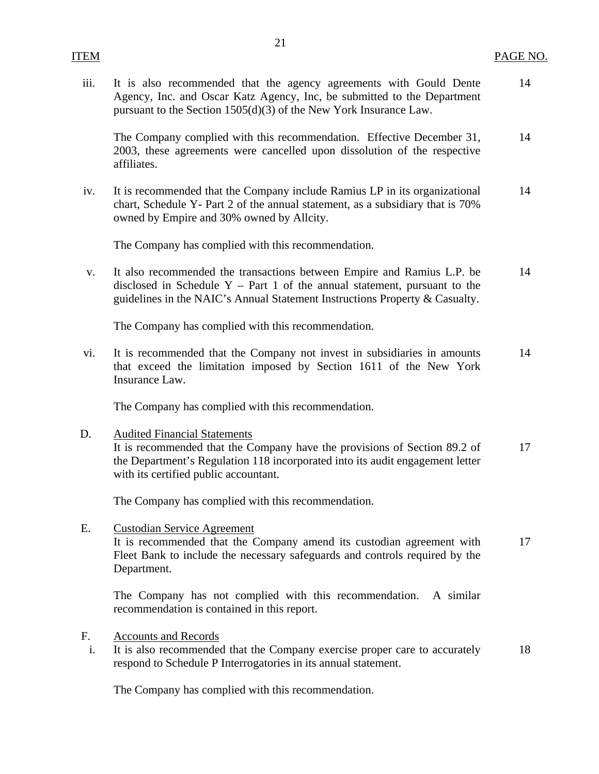| iii.     | It is also recommended that the agency agreements with Gould Dente<br>Agency, Inc. and Oscar Katz Agency, Inc, be submitted to the Department<br>pursuant to the Section $1505(d)(3)$ of the New York Insurance Law.                       | 14 |
|----------|--------------------------------------------------------------------------------------------------------------------------------------------------------------------------------------------------------------------------------------------|----|
|          | The Company complied with this recommendation. Effective December 31,<br>2003, these agreements were cancelled upon dissolution of the respective<br>affiliates.                                                                           | 14 |
| iv.      | It is recommended that the Company include Ramius LP in its organizational<br>chart, Schedule Y- Part 2 of the annual statement, as a subsidiary that is 70%<br>owned by Empire and 30% owned by Allcity.                                  | 14 |
|          | The Company has complied with this recommendation.                                                                                                                                                                                         |    |
| V.       | It also recommended the transactions between Empire and Ramius L.P. be<br>disclosed in Schedule $Y - Part 1$ of the annual statement, pursuant to the<br>guidelines in the NAIC's Annual Statement Instructions Property & Casualty.       | 14 |
|          | The Company has complied with this recommendation.                                                                                                                                                                                         |    |
| vi.      | It is recommended that the Company not invest in subsidiaries in amounts<br>that exceed the limitation imposed by Section 1611 of the New York<br>Insurance Law.                                                                           | 14 |
|          | The Company has complied with this recommendation.                                                                                                                                                                                         |    |
| D.       | <b>Audited Financial Statements</b><br>It is recommended that the Company have the provisions of Section 89.2 of<br>the Department's Regulation 118 incorporated into its audit engagement letter<br>with its certified public accountant. | 17 |
|          | The Company has complied with this recommendation.                                                                                                                                                                                         |    |
| Ε.       | <b>Custodian Service Agreement</b><br>It is recommended that the Company amend its custodian agreement with<br>Fleet Bank to include the necessary safeguards and controls required by the<br>Department.                                  | 17 |
|          | The Company has not complied with this recommendation.<br>A similar<br>recommendation is contained in this report.                                                                                                                         |    |
| F.<br>i. | <b>Accounts and Records</b><br>It is also recommended that the Company exercise proper care to accurately<br>respond to Schedule P Interrogatories in its annual statement.                                                                | 18 |

The Company has complied with this recommendation.

ITEM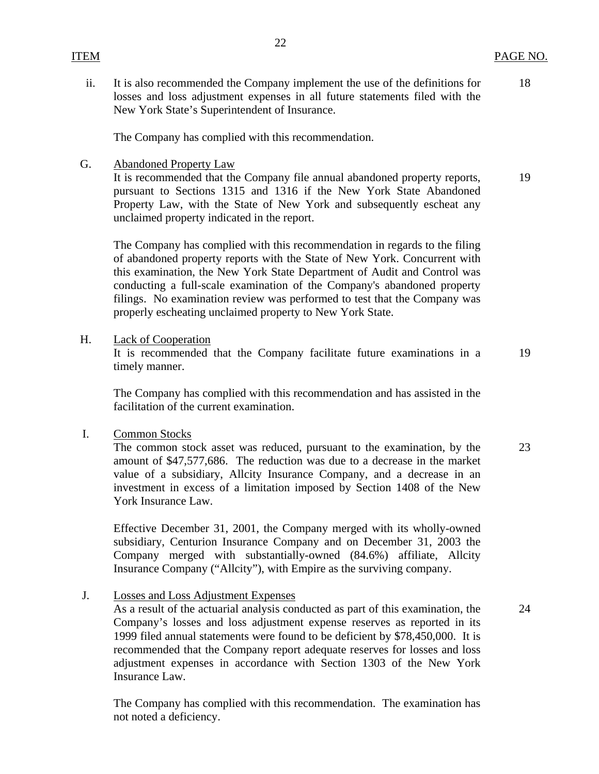# ITEM PAGE NO.

ii. It is also recommended the Company implement the use of the definitions for losses and loss adjustment expenses in all future statements filed with the New York State's Superintendent of Insurance.

The Company has complied with this recommendation.

G. Abandoned Property Law

It is recommended that the Company file annual abandoned property reports, pursuant to Sections 1315 and 1316 if the New York State Abandoned Property Law, with the State of New York and subsequently escheat any unclaimed property indicated in the report.

The Company has complied with this recommendation in regards to the filing of abandoned property reports with the State of New York. Concurrent with this examination, the New York State Department of Audit and Control was conducting a full-scale examination of the Company's abandoned property filings. No examination review was performed to test that the Company was properly escheating unclaimed property to New York State.

H. Lack of Cooperation

It is recommended that the Company facilitate future examinations in a timely manner.

The Company has complied with this recommendation and has assisted in the facilitation of the current examination.

I. Common Stocks

The common stock asset was reduced, pursuant to the examination, by the amount of \$47,577,686. The reduction was due to a decrease in the market value of a subsidiary, Allcity Insurance Company, and a decrease in an investment in excess of a limitation imposed by Section 1408 of the New York Insurance Law.

Effective December 31, 2001, the Company merged with its wholly-owned subsidiary, Centurion Insurance Company and on December 31, 2003 the Company merged with substantially-owned (84.6%) affiliate, Allcity Insurance Company ("Allcity"), with Empire as the surviving company.

J. Losses and Loss Adjustment Expenses

As a result of the actuarial analysis conducted as part of this examination, the Company's losses and loss adjustment expense reserves as reported in its 1999 filed annual statements were found to be deficient by \$78,450,000. It is recommended that the Company report adequate reserves for losses and loss adjustment expenses in accordance with Section 1303 of the New York Insurance Law.

The Company has complied with this recommendation. The examination has not noted a deficiency.

18

19

19

23

24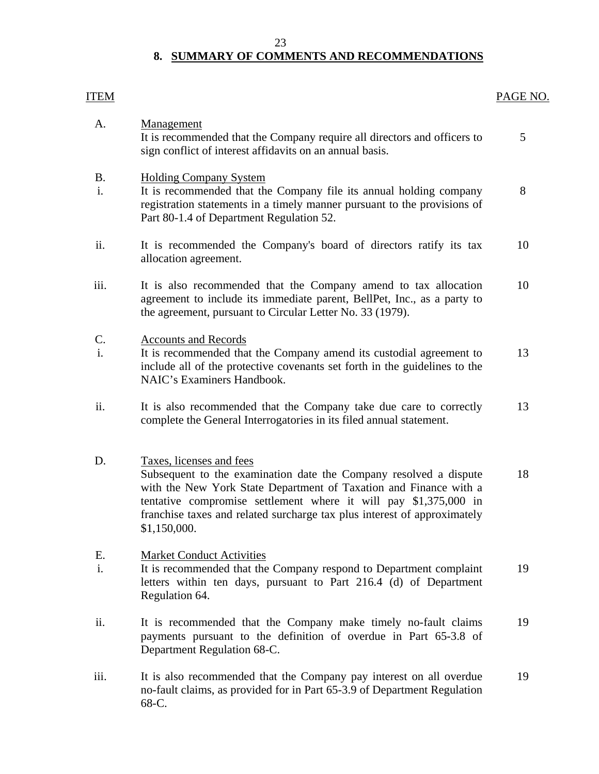#### 23

# **8. SUMMARY OF COMMENTS AND RECOMMENDATIONS**

<span id="page-24-0"></span>

| <b>ITEM</b>                      |                                                                                                                                                                                                                                                                                                                                    | PAGE NO. |
|----------------------------------|------------------------------------------------------------------------------------------------------------------------------------------------------------------------------------------------------------------------------------------------------------------------------------------------------------------------------------|----------|
| A.                               | <b>Management</b><br>It is recommended that the Company require all directors and officers to<br>sign conflict of interest affidavits on an annual basis.                                                                                                                                                                          | 5        |
| <b>B.</b><br>i.                  | <b>Holding Company System</b><br>It is recommended that the Company file its annual holding company<br>registration statements in a timely manner pursuant to the provisions of<br>Part 80-1.4 of Department Regulation 52.                                                                                                        | 8        |
| ii.                              | It is recommended the Company's board of directors ratify its tax<br>allocation agreement.                                                                                                                                                                                                                                         | 10       |
| iii.                             | It is also recommended that the Company amend to tax allocation<br>agreement to include its immediate parent, BellPet, Inc., as a party to<br>the agreement, pursuant to Circular Letter No. 33 (1979).                                                                                                                            | 10       |
| $\mathbf{C}$ .<br>$\mathbf{i}$ . | <b>Accounts and Records</b><br>It is recommended that the Company amend its custodial agreement to<br>include all of the protective covenants set forth in the guidelines to the<br>NAIC's Examiners Handbook.                                                                                                                     | 13       |
| ii.                              | It is also recommended that the Company take due care to correctly<br>complete the General Interrogatories in its filed annual statement.                                                                                                                                                                                          | 13       |
| D.                               | Taxes, licenses and fees<br>Subsequent to the examination date the Company resolved a dispute<br>with the New York State Department of Taxation and Finance with a<br>tentative compromise settlement where it will pay \$1,375,000 in<br>franchise taxes and related surcharge tax plus interest of approximately<br>\$1,150,000. | 18       |
| Е.<br>i.                         | <b>Market Conduct Activities</b><br>It is recommended that the Company respond to Department complaint<br>letters within ten days, pursuant to Part 216.4 (d) of Department<br>Regulation 64.                                                                                                                                      | 19       |
| ii.                              | It is recommended that the Company make timely no-fault claims<br>payments pursuant to the definition of overdue in Part 65-3.8 of<br>Department Regulation 68-C.                                                                                                                                                                  | 19       |
| iii.                             | It is also recommended that the Company pay interest on all overdue<br>no-fault claims, as provided for in Part 65-3.9 of Department Regulation<br>68-C.                                                                                                                                                                           | 19       |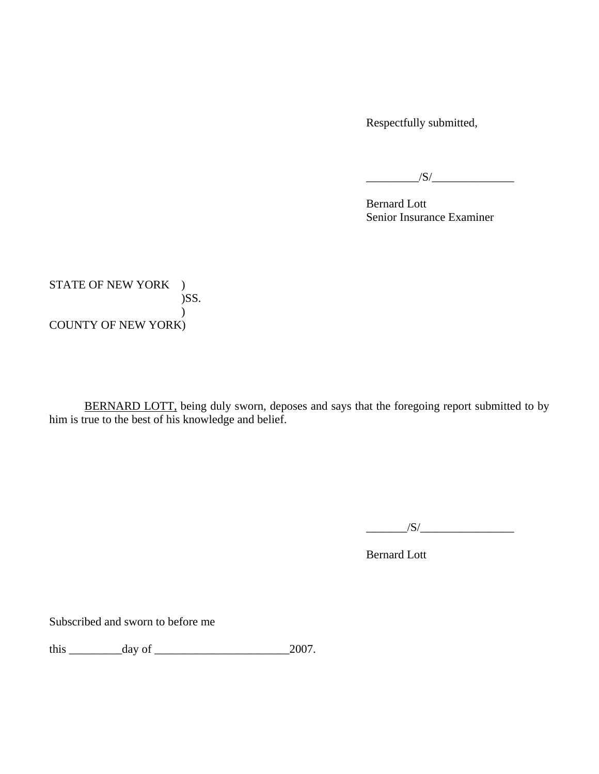Respectfully submitted,

 $\overline{\phantom{a}1}$   $\overline{\phantom{a}1}$   $\overline{\phantom{a}1}$   $\overline{\phantom{a}1}$   $\overline{\phantom{a}1}$   $\overline{\phantom{a}1}$   $\overline{\phantom{a}1}$   $\overline{\phantom{a}1}$   $\overline{\phantom{a}1}$   $\overline{\phantom{a}1}$   $\overline{\phantom{a}1}$   $\overline{\phantom{a}1}$   $\overline{\phantom{a}1}$   $\overline{\phantom{a}1}$   $\overline{\phantom{a}1}$   $\overline{\phantom{a}1$ 

 Bernard Lott Senior Insurance Examiner

STATE OF NEW YORK ) )SS.  $\overline{)}$ COUNTY OF NEW YORK)

BERNARD LOTT, being duly sworn, deposes and says that the foregoing report submitted to by him is true to the best of his knowledge and belief.

\_\_\_\_\_\_\_/S/\_\_\_\_\_\_\_\_\_\_\_\_\_\_\_\_

Bernard Lott

Subscribed and sworn to before me

this \_\_\_\_\_\_\_\_\_day of \_\_\_\_\_\_\_\_\_\_\_\_\_\_\_\_\_\_\_\_\_\_\_2007.